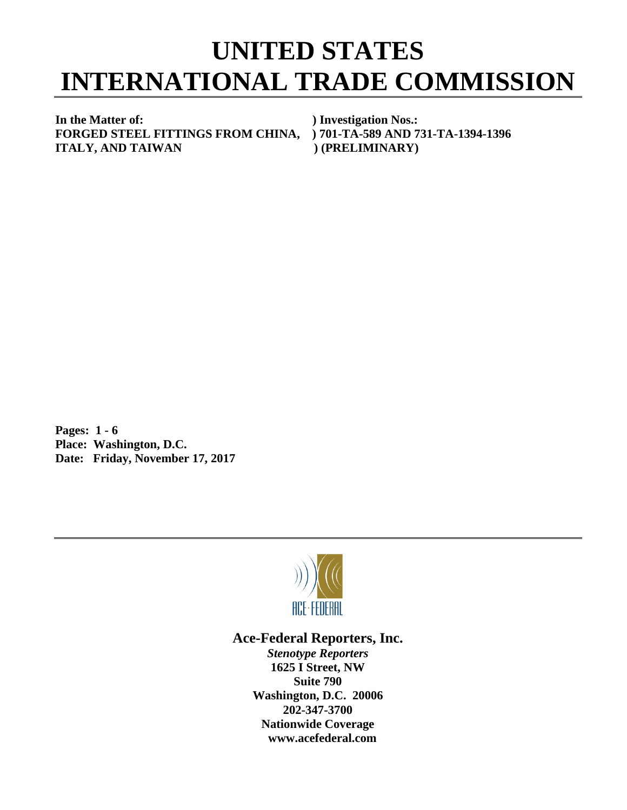## **UNITED STATES INTERNATIONAL TRADE COMMISSION**

**In the Matter of: ) Investigation Nos.: FORGED STEEL FITTINGS FROM CHINA, ) 701-TA-589 AND 731-TA-1394-1396 ITALY, AND TAIWAN** (PRELIMINARY)

**Pages: 1 - 6 Place: Washington, D.C. Date: Friday, November 17, 2017**



## **Ace-Federal Reporters, Inc.**

*Stenotype Reporters* **1625 I Street, NW Suite 790 Washington, D.C. 20006 202-347-3700 Nationwide Coverage www.acefederal.com**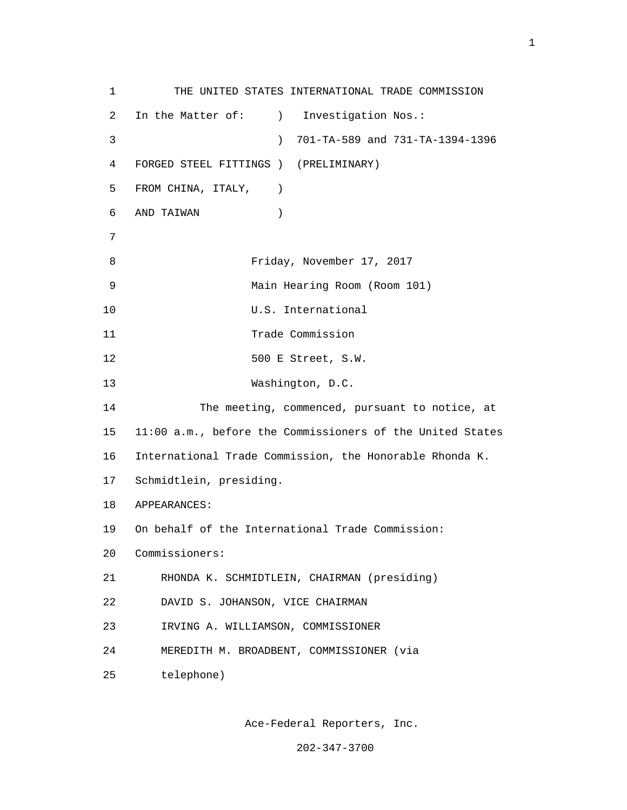1 THE UNITED STATES INTERNATIONAL TRADE COMMISSION 2 In the Matter of: ) Investigation Nos.: 3 ) 701-TA-589 and 731-TA-1394-1396 4 FORGED STEEL FITTINGS ) (PRELIMINARY) 5 FROM CHINA, ITALY, ) 6 AND TAIWAN ) 7 8 Friday, November 17, 2017 9 Main Hearing Room (Room 101) 10 U.S. International 11 Trade Commission 12 500 E Street, S.W. 13 Washington, D.C. 14 The meeting, commenced, pursuant to notice, at 15 11:00 a.m., before the Commissioners of the United States 16 International Trade Commission, the Honorable Rhonda K. 17 Schmidtlein, presiding. 18 APPEARANCES: 19 On behalf of the International Trade Commission: 20 Commissioners: 21 RHONDA K. SCHMIDTLEIN, CHAIRMAN (presiding) 22 DAVID S. JOHANSON, VICE CHAIRMAN 23 IRVING A. WILLIAMSON, COMMISSIONER 24 MEREDITH M. BROADBENT, COMMISSIONER (via 25 telephone)

Ace-Federal Reporters, Inc.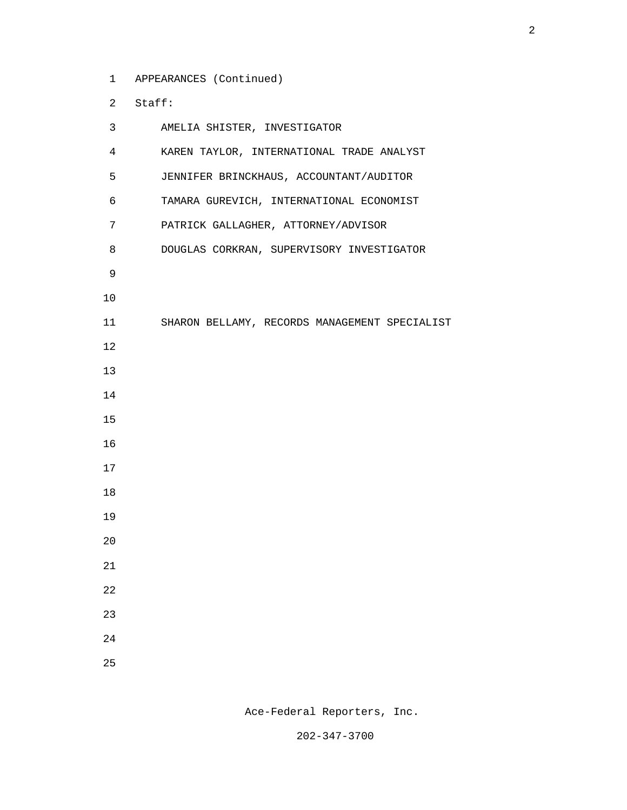1 APPEARANCES (Continued)

2 Staff:

| 3              | AMELIA SHISTER, INVESTIGATOR                  |
|----------------|-----------------------------------------------|
| $\overline{4}$ | KAREN TAYLOR, INTERNATIONAL TRADE ANALYST     |
| 5              | JENNIFER BRINCKHAUS, ACCOUNTANT/AUDITOR       |
| 6              | TAMARA GUREVICH, INTERNATIONAL ECONOMIST      |
| 7              | PATRICK GALLAGHER, ATTORNEY/ADVISOR           |
| 8              | DOUGLAS CORKRAN, SUPERVISORY INVESTIGATOR     |
| 9              |                                               |
| 10             |                                               |
| 11             | SHARON BELLAMY, RECORDS MANAGEMENT SPECIALIST |
| 12             |                                               |
| 13             |                                               |
| 14             |                                               |
| 15             |                                               |
| 16             |                                               |
| 17             |                                               |
| 18             |                                               |
| 19             |                                               |
| 20             |                                               |
| 21             |                                               |
| 22             |                                               |
| 23             |                                               |
| 24             |                                               |
| 25             |                                               |

Ace-Federal Reporters, Inc.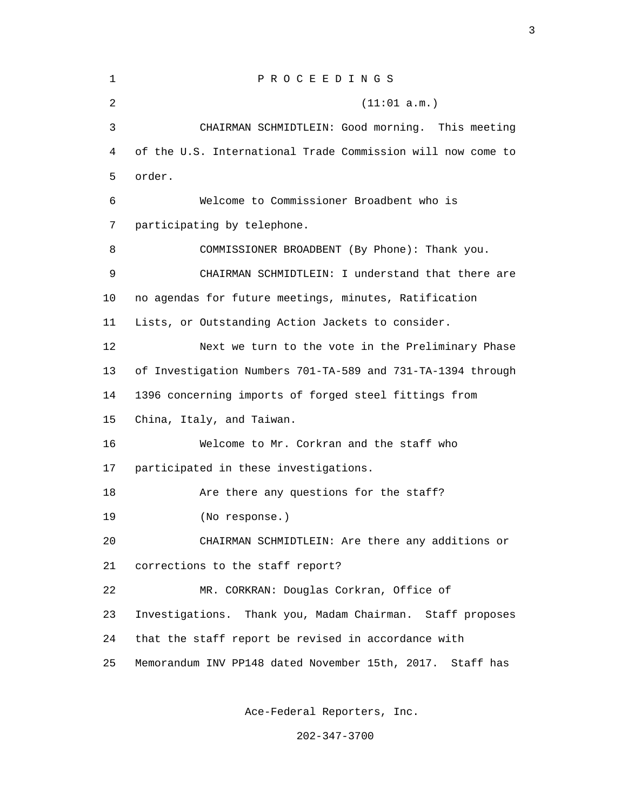| 1  | P R O C E E D I N G S                                       |
|----|-------------------------------------------------------------|
| 2  | (11:01 a.m.)                                                |
| 3  | CHAIRMAN SCHMIDTLEIN: Good morning. This meeting            |
| 4  | of the U.S. International Trade Commission will now come to |
| 5  | order.                                                      |
| 6  | Welcome to Commissioner Broadbent who is                    |
| 7  | participating by telephone.                                 |
| 8  | COMMISSIONER BROADBENT (By Phone): Thank you.               |
| 9  | CHAIRMAN SCHMIDTLEIN: I understand that there are           |
| 10 | no agendas for future meetings, minutes, Ratification       |
| 11 | Lists, or Outstanding Action Jackets to consider.           |
| 12 | Next we turn to the vote in the Preliminary Phase           |
| 13 | of Investigation Numbers 701-TA-589 and 731-TA-1394 through |
| 14 | 1396 concerning imports of forged steel fittings from       |
| 15 | China, Italy, and Taiwan.                                   |
| 16 | Welcome to Mr. Corkran and the staff who                    |
| 17 | participated in these investigations.                       |
| 18 | Are there any questions for the staff?                      |
| 19 | (No response.)                                              |
| 20 | CHAIRMAN SCHMIDTLEIN: Are there any additions or            |
| 21 | corrections to the staff report?                            |
| 22 | MR. CORKRAN: Douglas Corkran, Office of                     |
| 23 | Investigations. Thank you, Madam Chairman. Staff proposes   |
| 24 | that the staff report be revised in accordance with         |
| 25 | Memorandum INV PP148 dated November 15th, 2017. Staff has   |

Ace-Federal Reporters, Inc.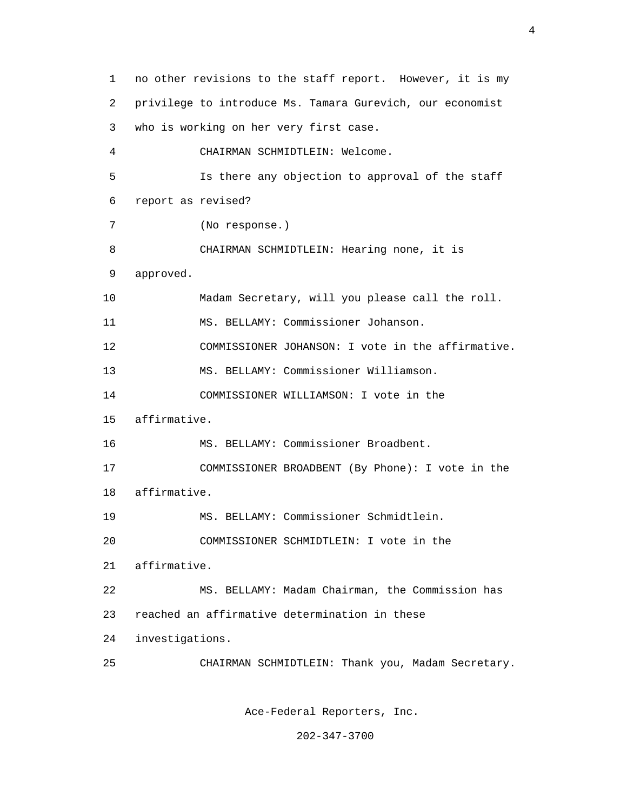1 no other revisions to the staff report. However, it is my 2 privilege to introduce Ms. Tamara Gurevich, our economist 3 who is working on her very first case. 4 CHAIRMAN SCHMIDTLEIN: Welcome. 5 Is there any objection to approval of the staff 6 report as revised? 7 (No response.) 8 CHAIRMAN SCHMIDTLEIN: Hearing none, it is 9 approved. 10 Madam Secretary, will you please call the roll. 11 MS. BELLAMY: Commissioner Johanson. 12 COMMISSIONER JOHANSON: I vote in the affirmative. 13 MS. BELLAMY: Commissioner Williamson. 14 COMMISSIONER WILLIAMSON: I vote in the 15 affirmative. 16 MS. BELLAMY: Commissioner Broadbent. 17 COMMISSIONER BROADBENT (By Phone): I vote in the 18 affirmative. 19 MS. BELLAMY: Commissioner Schmidtlein. 20 COMMISSIONER SCHMIDTLEIN: I vote in the 21 affirmative. 22 MS. BELLAMY: Madam Chairman, the Commission has 23 reached an affirmative determination in these 24 investigations. 25 CHAIRMAN SCHMIDTLEIN: Thank you, Madam Secretary.

Ace-Federal Reporters, Inc.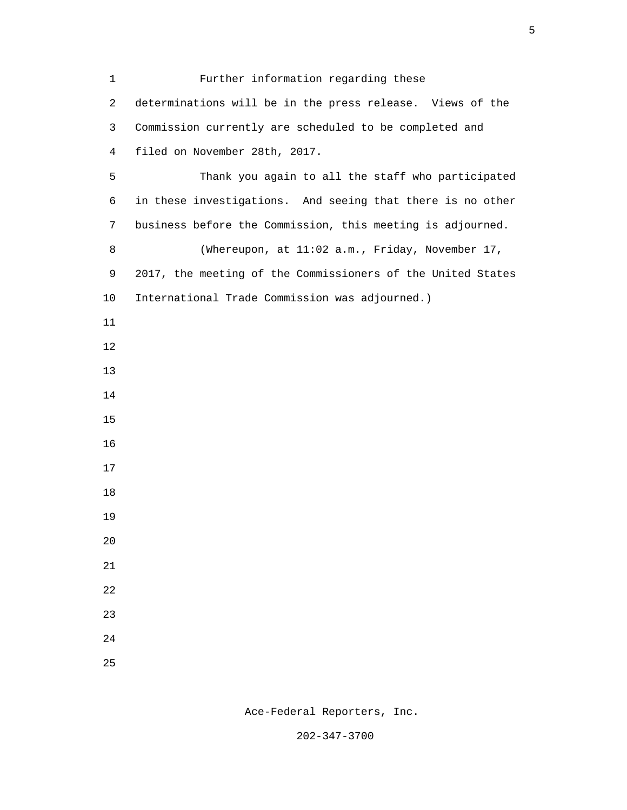| $\mathbf 1$    | Further information regarding these                         |
|----------------|-------------------------------------------------------------|
| $\overline{c}$ | determinations will be in the press release. Views of the   |
| 3              | Commission currently are scheduled to be completed and      |
| $\overline{4}$ | filed on November 28th, 2017.                               |
| 5              | Thank you again to all the staff who participated           |
| 6              | in these investigations. And seeing that there is no other  |
| 7              | business before the Commission, this meeting is adjourned.  |
| 8              | (Whereupon, at 11:02 a.m., Friday, November 17,             |
| 9              | 2017, the meeting of the Commissioners of the United States |
| 10             | International Trade Commission was adjourned.)              |
| 11             |                                                             |
| 12             |                                                             |
| 13             |                                                             |
| 14             |                                                             |
| 15             |                                                             |
| 16             |                                                             |
| 17             |                                                             |
| 18             |                                                             |
| 19             |                                                             |
| $20$           |                                                             |
| 21             |                                                             |
| 22             |                                                             |
| 23             |                                                             |
| 24             |                                                             |
| 25             |                                                             |

 $\sim$  5

Ace-Federal Reporters, Inc.